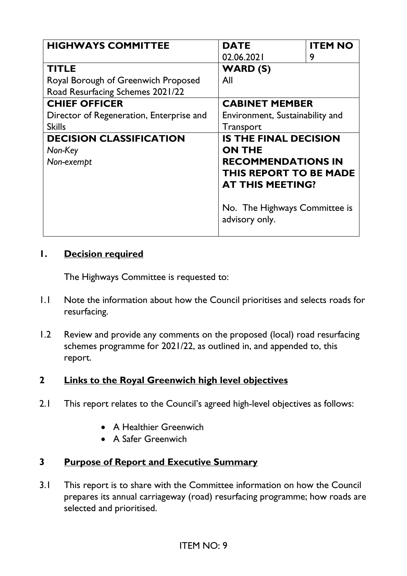| <b>HIGHWAYS COMMITTEE</b>                                                               | <b>DATE</b><br>02.06.2021                                                                                                       | <b>ITEM NO</b><br>9 |
|-----------------------------------------------------------------------------------------|---------------------------------------------------------------------------------------------------------------------------------|---------------------|
| <b>TITLE</b><br>Royal Borough of Greenwich Proposed<br>Road Resurfacing Schemes 2021/22 | <b>WARD (S)</b><br>All                                                                                                          |                     |
| <b>CHIEF OFFICER</b><br>Director of Regeneration, Enterprise and<br><b>Skills</b>       | <b>CABINET MEMBER</b><br>Environment, Sustainability and<br>Transport                                                           |                     |
| <b>DECISION CLASSIFICATION</b><br>Non-Key<br>Non-exempt                                 | <b>IS THE FINAL DECISION</b><br><b>ON THE</b><br><b>RECOMMENDATIONS IN</b><br>THIS REPORT TO BE MADE<br><b>AT THIS MEETING?</b> |                     |
|                                                                                         | No. The Highways Committee is<br>advisory only.                                                                                 |                     |

#### **1. Decision required**

The Highways Committee is requested to:

- 1.1 Note the information about how the Council prioritises and selects roads for resurfacing.
- 1.2 Review and provide any comments on the proposed (local) road resurfacing schemes programme for 2021/22, as outlined in, and appended to, this report.

## **2 Links to the Royal Greenwich high level objectives**

- 2.1 This report relates to the Council's agreed high-level objectives as follows:
	- A Healthier Greenwich
	- A Safer Greenwich

#### **3 Purpose of Report and Executive Summary**

3.1 This report is to share with the Committee information on how the Council prepares its annual carriageway (road) resurfacing programme; how roads are selected and prioritised.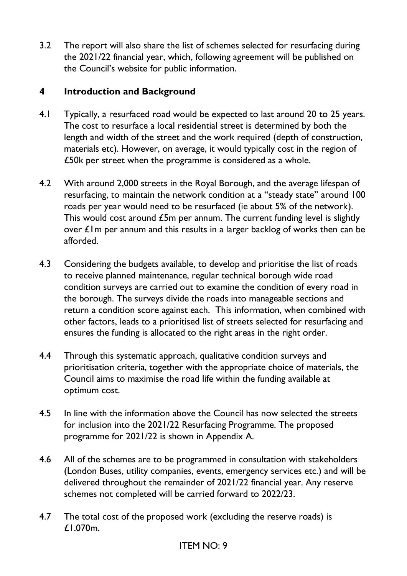3.2 The report will also share the list of schemes selected for resurfacing during the 2021/22 financial year, which, following agreement will be published on the Council's website for public information.

### **4 Introduction and Background**

- 4.1 Typically, a resurfaced road would be expected to last around 20 to 25 years. The cost to resurface a local residential street is determined by both the length and width of the street and the work required (depth of construction, materials etc). However, on average, it would typically cost in the region of £50k per street when the programme is considered as a whole.
- 4.2 With around 2,000 streets in the Royal Borough, and the average lifespan of resurfacing, to maintain the network condition at a "steady state" around 100 roads per year would need to be resurfaced (ie about 5% of the network). This would cost around £5m per annum. The current funding level is slightly over £1m per annum and this results in a larger backlog of works then can be afforded.
- 4.3 Considering the budgets available, to develop and prioritise the list of roads to receive planned maintenance, regular technical borough wide road condition surveys are carried out to examine the condition of every road in the borough. The surveys divide the roads into manageable sections and return a condition score against each. This information, when combined with other factors, leads to a prioritised list of streets selected for resurfacing and ensures the funding is allocated to the right areas in the right order.
- 4.4 Through this systematic approach, qualitative condition surveys and prioritisation criteria, together with the appropriate choice of materials, the Council aims to maximise the road life within the funding available at optimum cost.
- 4.5 In line with the information above the Council has now selected the streets for inclusion into the 2021/22 Resurfacing Programme. The proposed programme for 2021/22 is shown in Appendix A.
- 4.6 All of the schemes are to be programmed in consultation with stakeholders (London Buses, utility companies, events, emergency services etc.) and will be delivered throughout the remainder of 2021/22 financial year. Any reserve schemes not completed will be carried forward to 2022/23.
- 4.7 The total cost of the proposed work (excluding the reserve roads) is £1.070m.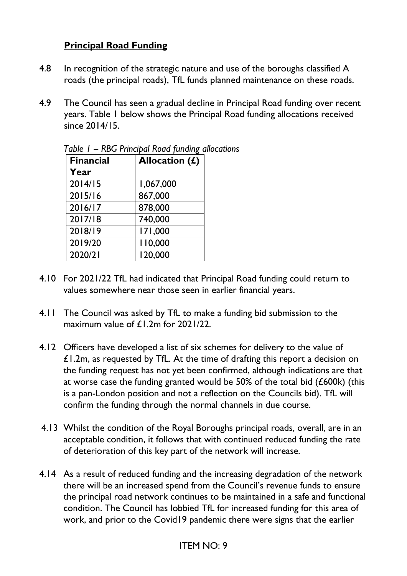### **Principal Road Funding**

- 4.8 In recognition of the strategic nature and use of the boroughs classified A roads (the principal roads), TfL funds planned maintenance on these roads.
- 4.9 The Council has seen a gradual decline in Principal Road funding over recent years. Table 1 below shows the Principal Road funding allocations received  $sinc<sub>P</sub>$  2014/15.

| <b>Financial</b> | Allocation (£) |
|------------------|----------------|
| Year             |                |
| 2014/15          | 1,067,000      |
| 2015/16          | 867,000        |
| 2016/17          | 878,000        |
| 2017/18          | 740,000        |
| 2018/19          | 171,000        |
| 2019/20          | 110,000        |
| 2020/21          | 120,000        |

|  | Table I - RBG Principal Road funding allocations |
|--|--------------------------------------------------|
|--|--------------------------------------------------|

- 4.10 For 2021/22 TfL had indicated that Principal Road funding could return to values somewhere near those seen in earlier financial years.
- 4.11 The Council was asked by TfL to make a funding bid submission to the maximum value of £1.2m for 2021/22.
- 4.12 Officers have developed a list of six schemes for delivery to the value of £1.2m, as requested by TfL. At the time of drafting this report a decision on the funding request has not yet been confirmed, although indications are that at worse case the funding granted would be 50% of the total bid (£600k) (this is a pan-London position and not a reflection on the Councils bid). TfL will confirm the funding through the normal channels in due course.
- 4.13 Whilst the condition of the Royal Boroughs principal roads, overall, are in an acceptable condition, it follows that with continued reduced funding the rate of deterioration of this key part of the network will increase.
- 4.14 As a result of reduced funding and the increasing degradation of the network there will be an increased spend from the Council's revenue funds to ensure the principal road network continues to be maintained in a safe and functional condition. The Council has lobbied TfL for increased funding for this area of work, and prior to the Covid19 pandemic there were signs that the earlier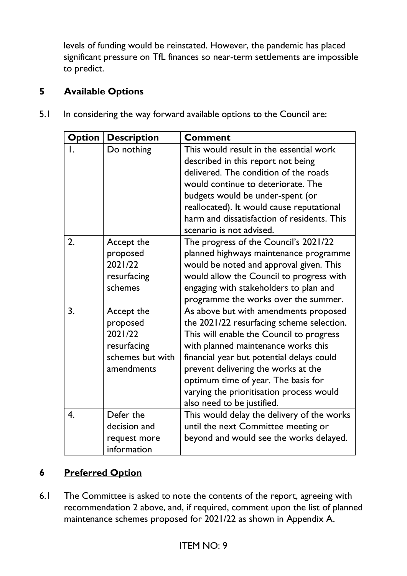levels of funding would be reinstated. However, the pandemic has placed significant pressure on TfL finances so near-term settlements are impossible to predict.

# **5 Available Options**

| <b>Option</b>      | <b>Description</b>                                                                 | <b>Comment</b>                                                                                                                                                                                                                                                                                                                                                             |
|--------------------|------------------------------------------------------------------------------------|----------------------------------------------------------------------------------------------------------------------------------------------------------------------------------------------------------------------------------------------------------------------------------------------------------------------------------------------------------------------------|
| $\mathsf{I}$ .     | Do nothing                                                                         | This would result in the essential work<br>described in this report not being<br>delivered. The condition of the roads<br>would continue to deteriorate. The<br>budgets would be under-spent (or<br>reallocated). It would cause reputational<br>harm and dissatisfaction of residents. This<br>scenario is not advised.                                                   |
| 2.                 | Accept the<br>proposed<br>2021/22<br>resurfacing<br>schemes                        | The progress of the Council's 2021/22<br>planned highways maintenance programme<br>would be noted and approval given. This<br>would allow the Council to progress with<br>engaging with stakeholders to plan and<br>programme the works over the summer.                                                                                                                   |
| 3.                 | Accept the<br>proposed<br>2021/22<br>resurfacing<br>schemes but with<br>amendments | As above but with amendments proposed<br>the 2021/22 resurfacing scheme selection.<br>This will enable the Council to progress<br>with planned maintenance works this<br>financial year but potential delays could<br>prevent delivering the works at the<br>optimum time of year. The basis for<br>varying the prioritisation process would<br>also need to be justified. |
| $\boldsymbol{4}$ . | Defer the<br>decision and<br>request more<br>information                           | This would delay the delivery of the works<br>until the next Committee meeting or<br>beyond and would see the works delayed.                                                                                                                                                                                                                                               |

5.1 In considering the way forward available options to the Council are:

# **6 Preferred Option**

6.1 The Committee is asked to note the contents of the report, agreeing with recommendation 2 above, and, if required, comment upon the list of planned maintenance schemes proposed for 2021/22 as shown in Appendix A.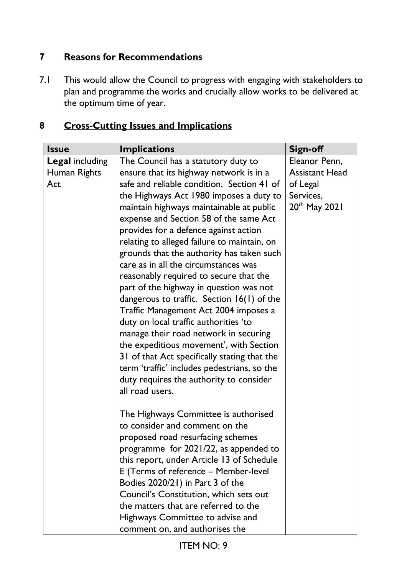# **7 Reasons for Recommendations**

7.1 This would allow the Council to progress with engaging with stakeholders to plan and programme the works and crucially allow works to be delivered at the optimum time of year.

# **8 Cross-Cutting Issues and Implications**

| <b>Issue</b>           | <b>Implications</b>                                                            | <b>Sign-off</b>       |
|------------------------|--------------------------------------------------------------------------------|-----------------------|
| <b>Legal including</b> | The Council has a statutory duty to                                            | Eleanor Penn,         |
| Human Rights           | ensure that its highway network is in a                                        | <b>Assistant Head</b> |
| Act                    | safe and reliable condition. Section 41 of                                     | of Legal              |
|                        | the Highways Act 1980 imposes a duty to                                        | Services,             |
|                        | maintain highways maintainable at public                                       | 20th May 2021         |
|                        | expense and Section 58 of the same Act                                         |                       |
|                        | provides for a defence against action                                          |                       |
|                        | relating to alleged failure to maintain, on                                    |                       |
|                        | grounds that the authority has taken such                                      |                       |
|                        | care as in all the circumstances was                                           |                       |
|                        | reasonably required to secure that the                                         |                       |
|                        | part of the highway in question was not                                        |                       |
|                        | dangerous to traffic. Section $16(1)$ of the                                   |                       |
|                        | Traffic Management Act 2004 imposes a<br>duty on local traffic authorities 'to |                       |
|                        | manage their road network in securing                                          |                       |
|                        | the expeditious movement', with Section                                        |                       |
|                        | 31 of that Act specifically stating that the                                   |                       |
|                        | term 'traffic' includes pedestrians, so the                                    |                       |
|                        | duty requires the authority to consider                                        |                       |
|                        | all road users.                                                                |                       |
|                        |                                                                                |                       |
|                        | The Highways Committee is authorised                                           |                       |
|                        | to consider and comment on the                                                 |                       |
|                        | proposed road resurfacing schemes                                              |                       |
|                        | programme for 2021/22, as appended to                                          |                       |
|                        | this report, under Article 13 of Schedule                                      |                       |
|                        | E (Terms of reference - Member-level                                           |                       |
|                        | Bodies 2020/21) in Part 3 of the                                               |                       |
|                        | Council's Constitution, which sets out                                         |                       |
|                        | the matters that are referred to the                                           |                       |
|                        | Highways Committee to advise and                                               |                       |
|                        | comment on, and authorises the                                                 |                       |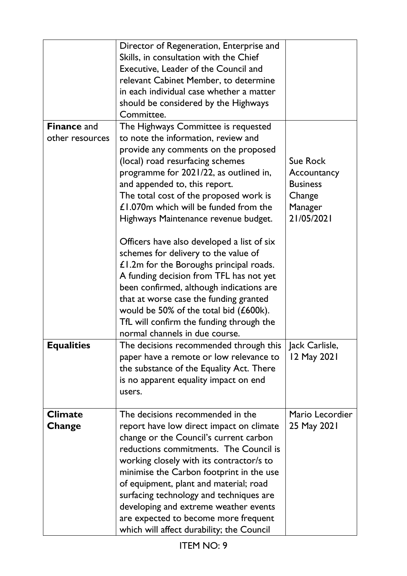|                                       | Director of Regeneration, Enterprise and<br>Skills, in consultation with the Chief<br>Executive, Leader of the Council and<br>relevant Cabinet Member, to determine<br>in each individual case whether a matter<br>should be considered by the Highways<br>Committee.                                                                                                                                                                                                       |                                                                                      |
|---------------------------------------|-----------------------------------------------------------------------------------------------------------------------------------------------------------------------------------------------------------------------------------------------------------------------------------------------------------------------------------------------------------------------------------------------------------------------------------------------------------------------------|--------------------------------------------------------------------------------------|
| <b>Finance and</b><br>other resources | The Highways Committee is requested<br>to note the information, review and<br>provide any comments on the proposed<br>(local) road resurfacing schemes<br>programme for 2021/22, as outlined in,<br>and appended to, this report.<br>The total cost of the proposed work is<br>£1.070m which will be funded from the<br>Highways Maintenance revenue budget.                                                                                                                | <b>Sue Rock</b><br>Accountancy<br><b>Business</b><br>Change<br>Manager<br>21/05/2021 |
|                                       | Officers have also developed a list of six<br>schemes for delivery to the value of<br>£1.2m for the Boroughs principal roads.<br>A funding decision from TFL has not yet<br>been confirmed, although indications are<br>that at worse case the funding granted<br>would be 50% of the total bid $(£600k)$ .<br>TfL will confirm the funding through the<br>normal channels in due course.                                                                                   |                                                                                      |
| <b>Equalities</b>                     | The decisions recommended through this $\vert$ Jack Carlisle,<br>paper have a remote or low relevance to<br>the substance of the Equality Act. There<br>is no apparent equality impact on end<br>users.                                                                                                                                                                                                                                                                     | 12 May 2021                                                                          |
| <b>Climate</b><br>Change              | The decisions recommended in the<br>report have low direct impact on climate<br>change or the Council's current carbon<br>reductions commitments. The Council is<br>working closely with its contractor/s to<br>minimise the Carbon footprint in the use<br>of equipment, plant and material; road<br>surfacing technology and techniques are<br>developing and extreme weather events<br>are expected to become more frequent<br>which will affect durability; the Council | Mario Lecordier<br>25 May 2021                                                       |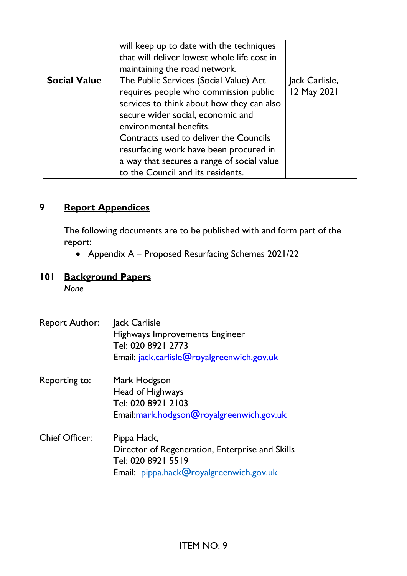|                     | will keep up to date with the techniques<br>that will deliver lowest whole life cost in<br>maintaining the road network.                                                                                                                                                                                                                                            |                               |
|---------------------|---------------------------------------------------------------------------------------------------------------------------------------------------------------------------------------------------------------------------------------------------------------------------------------------------------------------------------------------------------------------|-------------------------------|
| <b>Social Value</b> | The Public Services (Social Value) Act<br>requires people who commission public<br>services to think about how they can also<br>secure wider social, economic and<br>environmental benefits.<br>Contracts used to deliver the Councils<br>resurfacing work have been procured in<br>a way that secures a range of social value<br>to the Council and its residents. | Jack Carlisle,<br>12 May 2021 |

#### **9 Report Appendices**

The following documents are to be published with and form part of the report:

• Appendix A – Proposed Resurfacing Schemes 2021/22

# **101 Background Papers**

*None* 

Report Author: Jack Carlisle Highways Improvements Engineer Tel: 020 8921 2773 Email: [jack.carlisle@royalgreenwich.gov.uk](mailto:jack.carlisle@royalgreenwich.gov.uk)  Reporting to: Mark Hodgson Head of Highways Tel: 020 8921 2103 Email[:mark.hodgson@royalgreenwich.gov.uk](mailto:mark.hodgson@royalgreenwich.gov.uk) Chief Officer: Pippa Hack, Director of Regeneration, Enterprise and Skills Tel: 020 8921 5519 Email: [pippa.hack@royalgreenwich.gov.uk](mailto:pippa.hack@royalgreenwich.gov.uk)